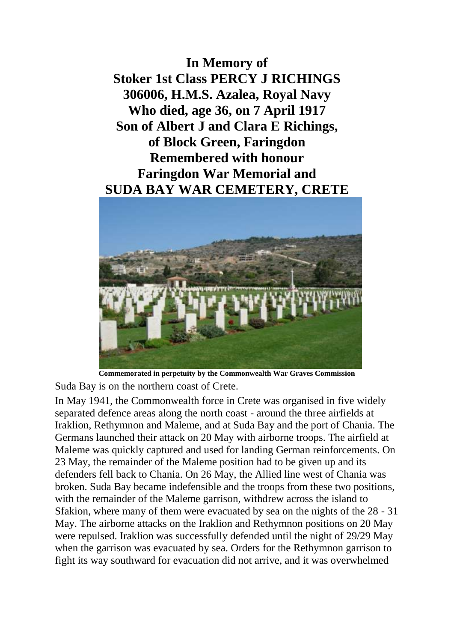**In Memory of Stoker 1st Class PERCY J RICHINGS 306006, H.M.S. Azalea, Royal Navy Who died, age 36, on 7 April 1917 Son of Albert J and Clara E Richings, of Block Green, Faringdon Remembered with honour Faringdon War Memorial and SUDA BAY WAR CEMETERY, CRETE**



**Commemorated in perpetuity by the Commonwealth War Graves Commission** 

Suda Bay is on the northern coast of Crete.

In May 1941, the Commonwealth force in Crete was organised in five widely separated defence areas along the north coast - around the three airfields at Iraklion, Rethymnon and Maleme, and at Suda Bay and the port of Chania. The Germans launched their attack on 20 May with airborne troops. The airfield at Maleme was quickly captured and used for landing German reinforcements. On 23 May, the remainder of the Maleme position had to be given up and its defenders fell back to Chania. On 26 May, the Allied line west of Chania was broken. Suda Bay became indefensible and the troops from these two positions, with the remainder of the Maleme garrison, withdrew across the island to Sfakion, where many of them were evacuated by sea on the nights of the 28 - 31 May. The airborne attacks on the Iraklion and Rethymnon positions on 20 May were repulsed. Iraklion was successfully defended until the night of 29/29 May when the garrison was evacuated by sea. Orders for the Rethymnon garrison to fight its way southward for evacuation did not arrive, and it was overwhelmed